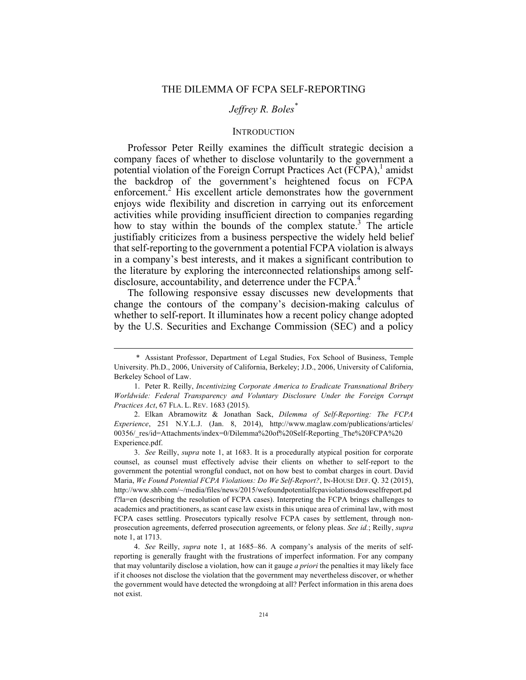# *Jeffrey R. Boles\**

#### **INTRODUCTION**

Professor Peter Reilly examines the difficult strategic decision a company faces of whether to disclose voluntarily to the government a potential violation of the Foreign Corrupt Practices Act  $(FCPA)$ , amidst the backdrop of the government's heightened focus on FCPA enforcement.<sup>2</sup> His excellent article demonstrates how the government enjoys wide flexibility and discretion in carrying out its enforcement activities while providing insufficient direction to companies regarding how to stay within the bounds of the complex statute.<sup>3</sup> The article justifiably criticizes from a business perspective the widely held belief that self-reporting to the government a potential FCPA violation is always in a company's best interests, and it makes a significant contribution to the literature by exploring the interconnected relationships among selfdisclosure, accountability, and deterrence under the FCPA.<sup>4</sup>

The following responsive essay discusses new developments that change the contours of the company's decision-making calculus of whether to self-report. It illuminates how a recent policy change adopted by the U.S. Securities and Exchange Commission (SEC) and a policy

 <sup>\*</sup> Assistant Professor, Department of Legal Studies, Fox School of Business, Temple University. Ph.D., 2006, University of California, Berkeley; J.D., 2006, University of California, Berkeley School of Law.

<sup>1.</sup> Peter R. Reilly, *Incentivizing Corporate America to Eradicate Transnational Bribery Worldwide: Federal Transparency and Voluntary Disclosure Under the Foreign Corrupt Practices Act*, 67 FLA. L. REV. 1683 (2015).

<sup>2.</sup> Elkan Abramowitz & Jonathan Sack, *Dilemma of Self-Reporting: The FCPA Experience*, 251 N.Y.L.J. (Jan. 8, 2014), http://www.maglaw.com/publications/articles/ 00356/\_res/id=Attachments/index=0/Dilemma%20of%20Self-Reporting\_The%20FCPA%20 Experience.pdf.

<sup>3.</sup> *See* Reilly, *supra* note 1, at 1683. It is a procedurally atypical position for corporate counsel, as counsel must effectively advise their clients on whether to self-report to the government the potential wrongful conduct, not on how best to combat charges in court. David Maria, *We Found Potential FCPA Violations: Do We Self-Report?*, IN-HOUSE DEF. Q. 32 (2015), http://www.shb.com/~/media/files/news/2015/wefoundpotentialfcpaviolationsdoweselfreport.pd f?la=en (describing the resolution of FCPA cases). Interpreting the FCPA brings challenges to academics and practitioners, as scant case law exists in this unique area of criminal law, with most FCPA cases settling. Prosecutors typically resolve FCPA cases by settlement, through nonprosecution agreements, deferred prosecution agreements, or felony pleas. *See id.*; Reilly, *supra* note 1, at 1713.

<sup>4.</sup> *See* Reilly, *supra* note 1, at 1685–86. A company's analysis of the merits of selfreporting is generally fraught with the frustrations of imperfect information. For any company that may voluntarily disclose a violation, how can it gauge *a priori* the penalties it may likely face if it chooses not disclose the violation that the government may nevertheless discover, or whether the government would have detected the wrongdoing at all? Perfect information in this arena does not exist.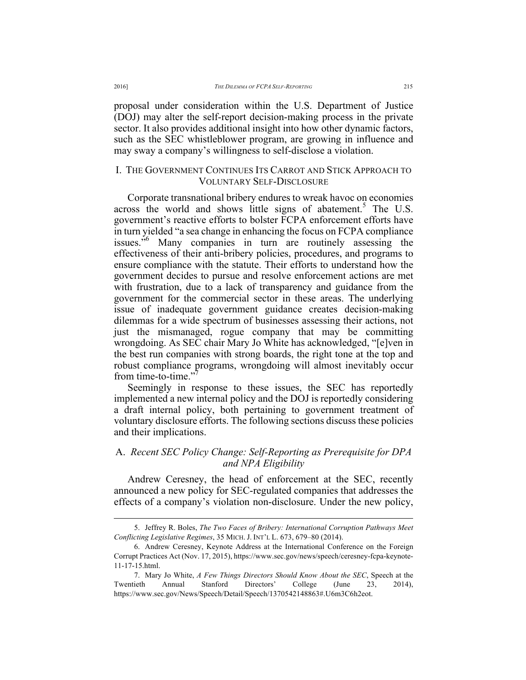proposal under consideration within the U.S. Department of Justice (DOJ) may alter the self-report decision-making process in the private sector. It also provides additional insight into how other dynamic factors, such as the SEC whistleblower program, are growing in influence and may sway a company's willingness to self-disclose a violation.

## I. THE GOVERNMENT CONTINUES ITS CARROT AND STICK APPROACH TO VOLUNTARY SELF-DISCLOSURE

Corporate transnational bribery endures to wreak havoc on economies across the world and shows little signs of abatement.<sup>5</sup> The U.S. government's reactive efforts to bolster FCPA enforcement efforts have in turn yielded "a sea change in enhancing the focus on FCPA compliance issues.<sup>56</sup> Many companies in turn are routinely assessing the effectiveness of their anti-bribery policies, procedures, and programs to ensure compliance with the statute. Their efforts to understand how the government decides to pursue and resolve enforcement actions are met with frustration, due to a lack of transparency and guidance from the government for the commercial sector in these areas. The underlying issue of inadequate government guidance creates decision-making dilemmas for a wide spectrum of businesses assessing their actions, not just the mismanaged, rogue company that may be committing wrongdoing. As SEC chair Mary Jo White has acknowledged, "[e]ven in the best run companies with strong boards, the right tone at the top and robust compliance programs, wrongdoing will almost inevitably occur from time-to-time."7

Seemingly in response to these issues, the SEC has reportedly implemented a new internal policy and the DOJ is reportedly considering a draft internal policy, both pertaining to government treatment of voluntary disclosure efforts. The following sections discuss these policies and their implications.

### A. *Recent SEC Policy Change: Self-Reporting as Prerequisite for DPA and NPA Eligibility*

Andrew Ceresney, the head of enforcement at the SEC, recently announced a new policy for SEC-regulated companies that addresses the effects of a company's violation non-disclosure. Under the new policy,

 <sup>5.</sup> Jeffrey R. Boles, *The Two Faces of Bribery: International Corruption Pathways Meet Conflicting Legislative Regimes*, 35 MICH. J. INT'L L. 673, 679–80 (2014).

<sup>6.</sup> Andrew Ceresney, Keynote Address at the International Conference on the Foreign Corrupt Practices Act (Nov. 17, 2015), https://www.sec.gov/news/speech/ceresney-fcpa-keynote-11-17-15.html.

<sup>7.</sup> Mary Jo White, *A Few Things Directors Should Know About the SEC*, Speech at the Twentieth Annual Stanford Directors' College (June 23, 2014), https://www.sec.gov/News/Speech/Detail/Speech/1370542148863#.U6m3C6h2eot.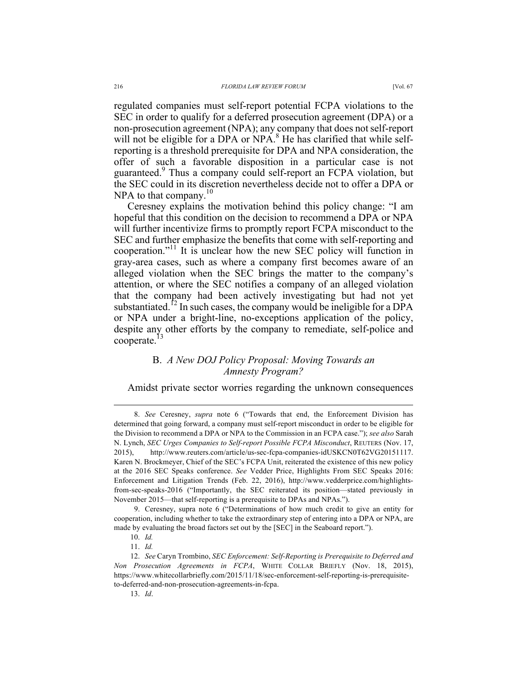regulated companies must self-report potential FCPA violations to the SEC in order to qualify for a deferred prosecution agreement (DPA) or a non-prosecution agreement (NPA); any company that does not self-report will not be eligible for a DPA or NPA. $8$  He has clarified that while selfreporting is a threshold prerequisite for DPA and NPA consideration, the offer of such a favorable disposition in a particular case is not guaranteed.<sup>9</sup> Thus a company could self-report an FCPA violation, but the SEC could in its discretion nevertheless decide not to offer a DPA or NPA to that company. $10$ 

Ceresney explains the motivation behind this policy change: "I am hopeful that this condition on the decision to recommend a DPA or NPA will further incentivize firms to promptly report FCPA misconduct to the SEC and further emphasize the benefits that come with self-reporting and cooperation." <sup>11</sup> It is unclear how the new SEC policy will function in gray-area cases, such as where a company first becomes aware of an alleged violation when the SEC brings the matter to the company's attention, or where the SEC notifies a company of an alleged violation that the company had been actively investigating but had not yet substantiated.<sup>12</sup> In such cases, the company would be ineligible for a DPA or NPA under a bright-line, no-exceptions application of the policy, despite any other efforts by the company to remediate, self-police and cooperate.<sup>13</sup>

## B. *A New DOJ Policy Proposal: Moving Towards an Amnesty Program?*

Amidst private sector worries regarding the unknown consequences

 <sup>8.</sup> *See* Ceresney, *supra* note 6 ("Towards that end, the Enforcement Division has determined that going forward, a company must self-report misconduct in order to be eligible for the Division to recommend a DPA or NPA to the Commission in an FCPA case."); *see also* Sarah N. Lynch, *SEC Urges Companies to Self-report Possible FCPA Misconduct*, REUTERS (Nov. 17, 2015), http://www.reuters.com/article/us-sec-fcpa-companies-idUSKCN0T62VG20151117. Karen N. Brockmeyer, Chief of the SEC's FCPA Unit, reiterated the existence of this new policy at the 2016 SEC Speaks conference. *See* Vedder Price, Highlights From SEC Speaks 2016: Enforcement and Litigation Trends (Feb. 22, 2016), http://www.vedderprice.com/highlightsfrom-sec-speaks-2016 ("Importantly, the SEC reiterated its position—stated previously in November 2015—that self-reporting is a prerequisite to DPAs and NPAs.").

<sup>9.</sup> Ceresney, supra note 6 ("Determinations of how much credit to give an entity for cooperation, including whether to take the extraordinary step of entering into a DPA or NPA, are made by evaluating the broad factors set out by the [SEC] in the Seaboard report.").

<sup>10.</sup> *Id.*

<sup>11.</sup> *Id.*

<sup>12.</sup> *See* Caryn Trombino, *SEC Enforcement: Self-Reporting is Prerequisite to Deferred and Non Prosecution Agreements in FCPA*, WHITE COLLAR BRIEFLY (Nov. 18, 2015), https://www.whitecollarbriefly.com/2015/11/18/sec-enforcement-self-reporting-is-prerequisiteto-deferred-and-non-prosecution-agreements-in-fcpa.

<sup>13.</sup> *Id*.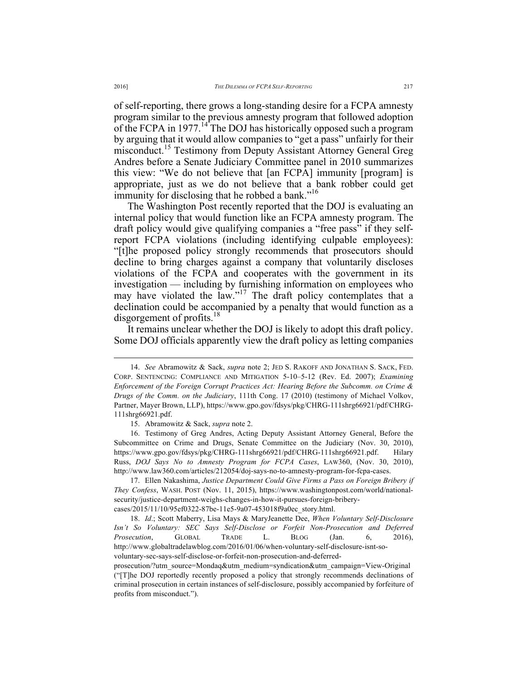of self-reporting, there grows a long-standing desire for a FCPA amnesty program similar to the previous amnesty program that followed adoption of the FCPA in  $1977$ .<sup>14</sup> The DOJ has historically opposed such a program by arguing that it would allow companies to "get a pass" unfairly for their misconduct.<sup>15</sup> Testimony from Deputy Assistant Attorney General Greg Andres before a Senate Judiciary Committee panel in 2010 summarizes this view: "We do not believe that [an FCPA] immunity [program] is appropriate, just as we do not believe that a bank robber could get immunity for disclosing that he robbed a bank."<sup>16</sup>

The Washington Post recently reported that the DOJ is evaluating an internal policy that would function like an FCPA amnesty program. The draft policy would give qualifying companies a "free pass" if they selfreport FCPA violations (including identifying culpable employees): "[t]he proposed policy strongly recommends that prosecutors should decline to bring charges against a company that voluntarily discloses violations of the FCPA and cooperates with the government in its investigation — including by furnishing information on employees who may have violated the law."<sup>17</sup> The draft policy contemplates that a declination could be accompanied by a penalty that would function as a disgorgement of profits.<sup>18</sup>

It remains unclear whether the DOJ is likely to adopt this draft policy. Some DOJ officials apparently view the draft policy as letting companies

 <sup>14.</sup> *See* Abramowitz & Sack, *supra* note 2; JED S. RAKOFF AND JONATHAN S. SACK, FED. CORP. SENTENCING: COMPLIANCE AND MITIGATION 5-10–5-12 (Rev. Ed. 2007); *Examining Enforcement of the Foreign Corrupt Practices Act: Hearing Before the Subcomm. on Crime & Drugs of the Comm. on the Judiciary*, 111th Cong. 17 (2010) (testimony of Michael Volkov, Partner, Mayer Brown, LLP), https://www.gpo.gov/fdsys/pkg/CHRG-111shrg66921/pdf/CHRG-111shrg66921.pdf.

<sup>15.</sup> Abramowitz & Sack, *supra* note 2.

<sup>16.</sup> Testimony of Greg Andres, Acting Deputy Assistant Attorney General, Before the Subcommittee on Crime and Drugs, Senate Committee on the Judiciary (Nov. 30, 2010), https://www.gpo.gov/fdsys/pkg/CHRG-111shrg66921/pdf/CHRG-111shrg66921.pdf. Hilary Russ, *DOJ Says No to Amnesty Program for FCPA Cases*, LAW360, (Nov. 30, 2010), http://www.law360.com/articles/212054/doj-says-no-to-amnesty-program-for-fcpa-cases.

<sup>17.</sup> Ellen Nakashima, *Justice Department Could Give Firms a Pass on Foreign Bribery if They Confess*, WASH. POST (Nov. 11, 2015), https://www.washingtonpost.com/world/nationalsecurity/justice-department-weighs-changes-in-how-it-pursues-foreign-briberycases/2015/11/10/95ef0322-87be-11e5-9a07-453018f9a0ec\_story.html.

<sup>18.</sup> *Id*.; Scott Maberry, Lisa Mays & MaryJeanette Dee, *When Voluntary Self-Disclosure Isn't So Voluntary: SEC Says Self-Disclose or Forfeit Non-Prosecution and Deferred Prosecution*, GLOBAL TRADE L. BLOG (Jan. 6, 2016), http://www.globaltradelawblog.com/2016/01/06/when-voluntary-self-disclosure-isnt-sovoluntary-sec-says-self-disclose-or-forfeit-non-prosecution-and-deferred-

prosecution/?utm\_source=Mondaq&utm\_medium=syndication&utm\_campaign=View-Original ("[T]he DOJ reportedly recently proposed a policy that strongly recommends declinations of criminal prosecution in certain instances of self-disclosure, possibly accompanied by forfeiture of profits from misconduct.").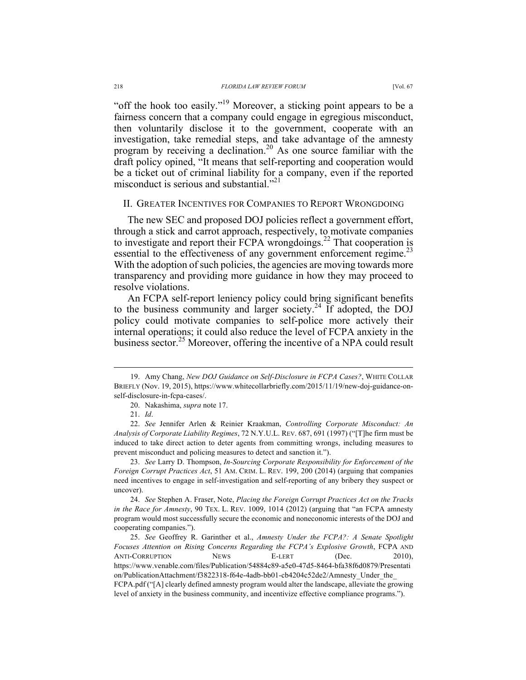"off the hook too easily."<sup>19</sup> Moreover, a sticking point appears to be a fairness concern that a company could engage in egregious misconduct, then voluntarily disclose it to the government, cooperate with an investigation, take remedial steps, and take advantage of the amnesty program by receiving a declination.<sup>20</sup> As one source familiar with the draft policy opined, "It means that self-reporting and cooperation would be a ticket out of criminal liability for a company, even if the reported misconduct is serious and substantial."<sup>21</sup>

### II. GREATER INCENTIVES FOR COMPANIES TO REPORT WRONGDOING

The new SEC and proposed DOJ policies reflect a government effort, through a stick and carrot approach, respectively, to motivate companies to investigate and report their FCPA wrongdoings.<sup>22</sup> That cooperation is essential to the effectiveness of any government enforcement regime.<sup>23</sup> With the adoption of such policies, the agencies are moving towards more transparency and providing more guidance in how they may proceed to resolve violations.

An FCPA self-report leniency policy could bring significant benefits to the business community and larger society.<sup>24</sup> If adopted, the DOJ policy could motivate companies to self-police more actively their internal operations; it could also reduce the level of FCPA anxiety in the business sector.<sup>25</sup> Moreover, offering the incentive of a NPA could result

23. *See* Larry D. Thompson, *In-Sourcing Corporate Responsibility for Enforcement of the Foreign Corrupt Practices Act*, 51 AM. CRIM. L. REV. 199, 200 (2014) (arguing that companies need incentives to engage in self-investigation and self-reporting of any bribery they suspect or uncover).

24. *See* Stephen A. Fraser, Note, *Placing the Foreign Corrupt Practices Act on the Tracks in the Race for Amnesty*, 90 TEX. L. REV. 1009, 1014 (2012) (arguing that "an FCPA amnesty program would most successfully secure the economic and noneconomic interests of the DOJ and cooperating companies.").

25. *See* Geoffrey R. Garinther et al., *Amnesty Under the FCPA?: A Senate Spotlight Focuses Attention on Rising Concerns Regarding the FCPA's Explosive Growth*, FCPA AND ANTI-CORRUPTION NEWS E-LERT (Dec. 2010), https://www.venable.com/files/Publication/54884c89-a5e0-47d5-8464-bfa38f6d0879/Presentati on/PublicationAttachment/f3822318-f64e-4adb-bb01-cb4204c52de2/Amnesty\_Under\_the\_ FCPA.pdf ("[A] clearly defined amnesty program would alter the landscape, alleviate the growing level of anxiety in the business community, and incentivize effective compliance programs.").

 <sup>19.</sup> Amy Chang, *New DOJ Guidance on Self-Disclosure in FCPA Cases?*, WHITE COLLAR BRIEFLY (Nov. 19, 2015), https://www.whitecollarbriefly.com/2015/11/19/new-doj-guidance-onself-disclosure-in-fcpa-cases/.

<sup>20.</sup> Nakashima, *supra* note 17.

<sup>21.</sup> *Id*.

<sup>22.</sup> *See* Jennifer Arlen & Reinier Kraakman, *Controlling Corporate Misconduct: An Analysis of Corporate Liability Regimes*, 72 N.Y.U.L. REV. 687, 691 (1997) ("[T]he firm must be induced to take direct action to deter agents from committing wrongs, including measures to prevent misconduct and policing measures to detect and sanction it.").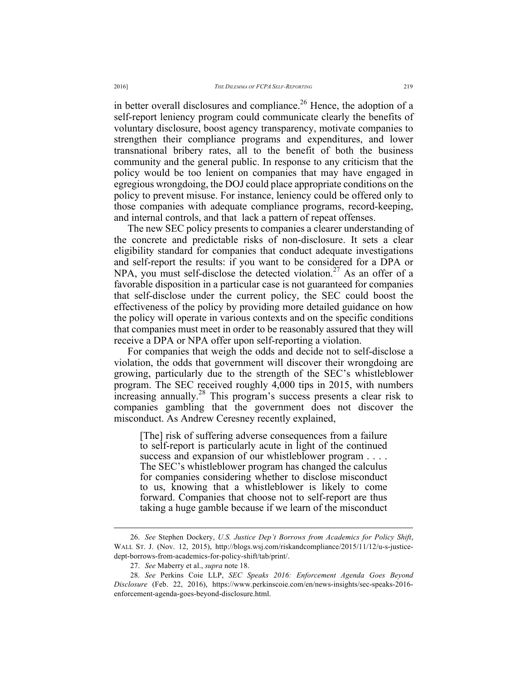in better overall disclosures and compliance.<sup>26</sup> Hence, the adoption of a self-report leniency program could communicate clearly the benefits of voluntary disclosure, boost agency transparency, motivate companies to strengthen their compliance programs and expenditures, and lower transnational bribery rates, all to the benefit of both the business community and the general public. In response to any criticism that the policy would be too lenient on companies that may have engaged in egregious wrongdoing, the DOJ could place appropriate conditions on the policy to prevent misuse. For instance, leniency could be offered only to those companies with adequate compliance programs, record-keeping, and internal controls, and that lack a pattern of repeat offenses.

The new SEC policy presents to companies a clearer understanding of the concrete and predictable risks of non-disclosure. It sets a clear eligibility standard for companies that conduct adequate investigations and self-report the results: if you want to be considered for a DPA or NPA, you must self-disclose the detected violation.<sup>27</sup> As an offer of a favorable disposition in a particular case is not guaranteed for companies that self-disclose under the current policy, the SEC could boost the effectiveness of the policy by providing more detailed guidance on how the policy will operate in various contexts and on the specific conditions that companies must meet in order to be reasonably assured that they will receive a DPA or NPA offer upon self-reporting a violation.

For companies that weigh the odds and decide not to self-disclose a violation, the odds that government will discover their wrongdoing are growing, particularly due to the strength of the SEC's whistleblower program. The SEC received roughly 4,000 tips in 2015, with numbers increasing annually.<sup>28</sup> This program's success presents a clear risk to companies gambling that the government does not discover the misconduct. As Andrew Ceresney recently explained,

[The] risk of suffering adverse consequences from a failure to self-report is particularly acute in light of the continued success and expansion of our whistleblower program . . . . . The SEC's whistleblower program has changed the calculus for companies considering whether to disclose misconduct to us, knowing that a whistleblower is likely to come forward. Companies that choose not to self-report are thus taking a huge gamble because if we learn of the misconduct

 <sup>26.</sup> *See* Stephen Dockery, *U.S. Justice Dep't Borrows from Academics for Policy Shift*, WALL ST. J. (Nov. 12, 2015), http://blogs.wsj.com/riskandcompliance/2015/11/12/u-s-justicedept-borrows-from-academics-for-policy-shift/tab/print/.

<sup>27.</sup> *See* Maberry et al., *supra* note 18.

<sup>28.</sup> *See* Perkins Coie LLP, *SEC Speaks 2016: Enforcement Agenda Goes Beyond Disclosure* (Feb. 22, 2016), https://www.perkinscoie.com/en/news-insights/sec-speaks-2016 enforcement-agenda-goes-beyond-disclosure.html.